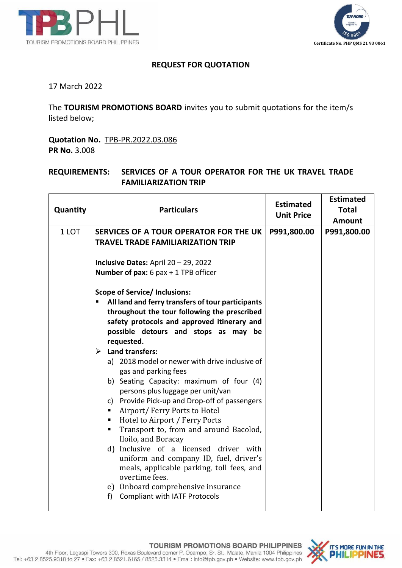



## **REQUEST FOR QUOTATION**

17 March 2022

The **TOURISM PROMOTIONS BOARD** invites you to submit quotations for the item/s listed below;

**Quotation No.** TPB-PR.2022.03.086 **PR No.** 3.008

## **REQUIREMENTS: SERVICES OF A TOUR OPERATOR FOR THE UK TRAVEL TRADE FAMILIARIZATION TRIP**

| Quantity | <b>Particulars</b>                                                               | <b>Estimated</b><br><b>Unit Price</b> | <b>Estimated</b><br><b>Total</b><br><b>Amount</b> |
|----------|----------------------------------------------------------------------------------|---------------------------------------|---------------------------------------------------|
| 1 LOT    | SERVICES OF A TOUR OPERATOR FOR THE UK                                           | P991,800.00                           | P991,800.00                                       |
|          | <b>TRAVEL TRADE FAMILIARIZATION TRIP</b>                                         |                                       |                                                   |
|          | Inclusive Dates: April 20 - 29, 2022                                             |                                       |                                                   |
|          | <b>Number of pax:</b> 6 pax $+$ 1 TPB officer                                    |                                       |                                                   |
|          | <b>Scope of Service/ Inclusions:</b>                                             |                                       |                                                   |
|          | All land and ferry transfers of tour participants                                |                                       |                                                   |
|          | throughout the tour following the prescribed                                     |                                       |                                                   |
|          | safety protocols and approved itinerary and                                      |                                       |                                                   |
|          | possible detours and stops as may be                                             |                                       |                                                   |
|          | requested.                                                                       |                                       |                                                   |
|          | $\triangleright$ Land transfers:                                                 |                                       |                                                   |
|          | a) 2018 model or newer with drive inclusive of<br>gas and parking fees           |                                       |                                                   |
|          | b) Seating Capacity: maximum of four (4)                                         |                                       |                                                   |
|          | persons plus luggage per unit/van                                                |                                       |                                                   |
|          | c) Provide Pick-up and Drop-off of passengers                                    |                                       |                                                   |
|          | Airport/Ferry Ports to Hotel<br>Hotel to Airport / Ferry Ports<br>$\blacksquare$ |                                       |                                                   |
|          | Transport to, from and around Bacolod,<br>٠                                      |                                       |                                                   |
|          | Iloilo, and Boracay                                                              |                                       |                                                   |
|          | d) Inclusive of a licensed driver with                                           |                                       |                                                   |
|          | uniform and company ID, fuel, driver's                                           |                                       |                                                   |
|          | meals, applicable parking, toll fees, and                                        |                                       |                                                   |
|          | overtime fees.                                                                   |                                       |                                                   |
|          | e) Onboard comprehensive insurance                                               |                                       |                                                   |
|          | <b>Compliant with IATF Protocols</b><br>f                                        |                                       |                                                   |
|          |                                                                                  |                                       |                                                   |

**TOURISM PROMOTIONS BOARD PHILIPPINES**<br>4th Floor, Legaspi Towers 300, Roxas Boulevard corner P. Ocampo, Sr. St., Malate, Manila 1004 Philippines Tel: +63 2 8525.9318 to 27 · Fax: +63 2 8521.6165 / 8525.3314 · Email: info@tpb.gov.ph · Website: www.tpb.gov.ph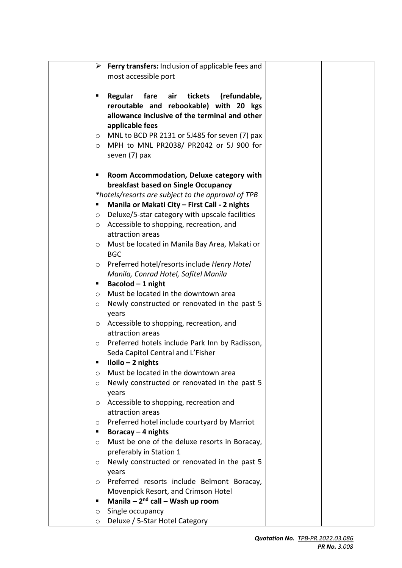|         | $\triangleright$ Ferry transfers: Inclusion of applicable fees and |  |
|---------|--------------------------------------------------------------------|--|
|         | most accessible port                                               |  |
|         |                                                                    |  |
| п       | Regular fare air<br>tickets<br>(refundable,                        |  |
|         | reroutable and rebookable) with 20 kgs                             |  |
|         | allowance inclusive of the terminal and other                      |  |
|         | applicable fees                                                    |  |
| $\circ$ | MNL to BCD PR 2131 or 5J485 for seven (7) pax                      |  |
| $\circ$ | MPH to MNL PR2038/ PR2042 or 5J 900 for                            |  |
|         | seven (7) pax                                                      |  |
|         | Room Accommodation, Deluxe category with                           |  |
|         | breakfast based on Single Occupancy                                |  |
|         | *hotels/resorts are subject to the approval of TPB                 |  |
| п       | Manila or Makati City - First Call - 2 nights                      |  |
| $\circ$ | Deluxe/5-star category with upscale facilities                     |  |
| $\circ$ | Accessible to shopping, recreation, and                            |  |
|         | attraction areas                                                   |  |
| $\circ$ | Must be located in Manila Bay Area, Makati or                      |  |
|         | <b>BGC</b>                                                         |  |
| O       | Preferred hotel/resorts include Henry Hotel                        |  |
|         | Manila, Conrad Hotel, Sofitel Manila                               |  |
| п       | Bacolod - 1 night                                                  |  |
| $\circ$ | Must be located in the downtown area                               |  |
| O       | Newly constructed or renovated in the past 5                       |  |
|         | years                                                              |  |
| $\circ$ | Accessible to shopping, recreation, and                            |  |
|         | attraction areas                                                   |  |
| $\circ$ | Preferred hotels include Park Inn by Radisson,                     |  |
|         | Seda Capitol Central and L'Fisher                                  |  |
|         | $Iloilo - 2 nights$                                                |  |
| $\circ$ | Must be located in the downtown area                               |  |
| O       | Newly constructed or renovated in the past 5                       |  |
|         | years                                                              |  |
| $\circ$ | Accessible to shopping, recreation and                             |  |
|         | attraction areas                                                   |  |
| $\circ$ | Preferred hotel include courtyard by Marriot                       |  |
| ٠       | Boracay $-$ 4 nights                                               |  |
| $\circ$ | Must be one of the deluxe resorts in Boracay,                      |  |
|         | preferably in Station 1                                            |  |
| $\circ$ | Newly constructed or renovated in the past 5                       |  |
|         | years                                                              |  |
| $\circ$ | Preferred resorts include Belmont Boracay,                         |  |
|         | Movenpick Resort, and Crimson Hotel                                |  |
| ٠       | Manila - $2nd$ call - Wash up room                                 |  |
| $\circ$ | Single occupancy                                                   |  |
| $\circ$ | Deluxe / 5-Star Hotel Category                                     |  |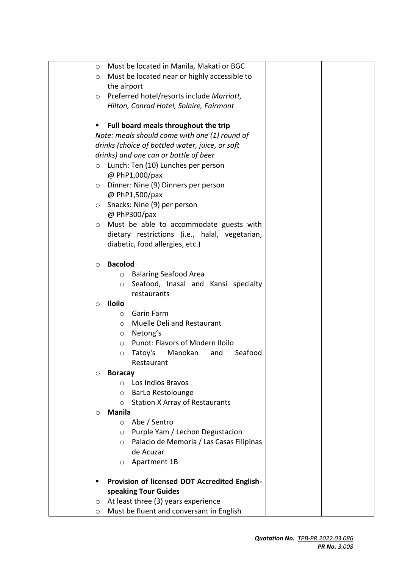| Must be located in Manila, Makati or BGC<br>$\circ$ |  |
|-----------------------------------------------------|--|
| Must be located near or highly accessible to<br>O   |  |
| the airport                                         |  |
| Preferred hotel/resorts include Marriott,<br>O      |  |
| Hilton, Conrad Hotel, Solaire, Fairmont             |  |
|                                                     |  |
| Full board meals throughout the trip<br>п           |  |
| Note: meals should come with one (1) round of       |  |
| drinks (choice of bottled water, juice, or soft     |  |
| drinks) and one can or bottle of beer               |  |
| Lunch: Ten (10) Lunches per person<br>$\circ$       |  |
| @ PhP1,000/pax                                      |  |
| Dinner: Nine (9) Dinners per person<br>$\circ$      |  |
| @ PhP1,500/pax                                      |  |
| Snacks: Nine (9) per person<br>$\circ$              |  |
| @ PhP300/pax                                        |  |
| Must be able to accommodate guests with<br>$\circ$  |  |
| dietary restrictions (i.e., halal, vegetarian,      |  |
| diabetic, food allergies, etc.)                     |  |
| <b>Bacolod</b>                                      |  |
| $\circ$<br><b>Balaring Seafood Area</b><br>$\circ$  |  |
| Seafood, Inasal and Kansi specialty<br>$\circ$      |  |
| restaurants                                         |  |
| <b>Iloilo</b><br>$\circ$                            |  |
| <b>Garin Farm</b><br>$\circ$                        |  |
| Muelle Deli and Restaurant<br>$\circ$               |  |
| o Netong's                                          |  |
| Punot: Flavors of Modern Iloilo<br>O                |  |
| Manokan<br>Seafood<br>Tatoy's<br>and<br>$\circ$     |  |
| Restaurant                                          |  |
| <b>Boracay</b><br>$\circ$                           |  |
| Los Indios Bravos<br>$\bigcirc$                     |  |
| <b>BarLo Restolounge</b><br>$\circ$                 |  |
| <b>Station X Array of Restaurants</b><br>$\circ$    |  |
| <b>Manila</b><br>$\circ$                            |  |
| Abe / Sentro<br>$\circ$                             |  |
| Purple Yam / Lechon Degustacion<br>$\circ$          |  |
| Palacio de Memoria / Las Casas Filipinas<br>$\circ$ |  |
| de Acuzar                                           |  |
| Apartment 1B<br>$\circ$                             |  |
|                                                     |  |
| Provision of licensed DOT Accredited English-       |  |
| speaking Tour Guides                                |  |
| At least three (3) years experience<br>$\circ$      |  |
| Must be fluent and conversant in English<br>O       |  |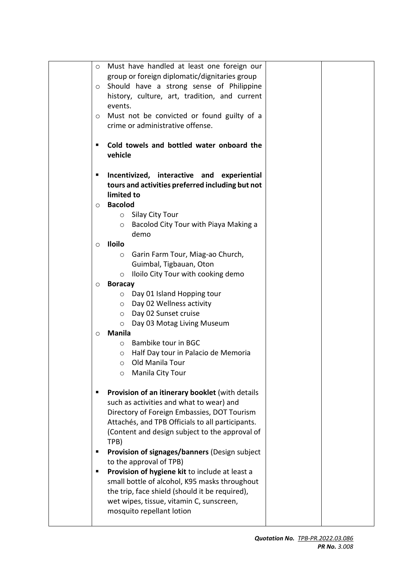| $\circ$ | Must have handled at least one foreign our       |  |
|---------|--------------------------------------------------|--|
|         | group or foreign diplomatic/dignitaries group    |  |
| $\circ$ | Should have a strong sense of Philippine         |  |
|         | history, culture, art, tradition, and current    |  |
|         | events.                                          |  |
|         |                                                  |  |
| O       | Must not be convicted or found guilty of a       |  |
|         | crime or administrative offense.                 |  |
|         | Cold towels and bottled water onboard the        |  |
|         | vehicle                                          |  |
| п       | Incentivized, interactive and<br>experiential    |  |
|         | tours and activities preferred including but not |  |
|         | limited to                                       |  |
| $\circ$ | <b>Bacolod</b>                                   |  |
|         | Silay City Tour<br>$\circ$                       |  |
|         | Bacolod City Tour with Piaya Making a<br>$\circ$ |  |
|         | demo                                             |  |
| $\circ$ | <b>Iloilo</b>                                    |  |
|         | Garin Farm Tour, Miag-ao Church,<br>O            |  |
|         | Guimbal, Tigbauan, Oton                          |  |
|         | Iloilo City Tour with cooking demo<br>$\circ$    |  |
| $\circ$ | <b>Boracay</b>                                   |  |
|         | Day 01 Island Hopping tour<br>$\circ$            |  |
|         | Day 02 Wellness activity<br>$\circ$              |  |
|         | Day 02 Sunset cruise<br>$\circ$                  |  |
|         | Day 03 Motag Living Museum<br>$\circ$            |  |
| $\circ$ | <b>Manila</b>                                    |  |
|         | Bambike tour in BGC<br>$\circ$                   |  |
|         | Half Day tour in Palacio de Memoria<br>O         |  |
|         | Old Manila Tour                                  |  |
|         | Manila City Tour<br>$\circ$                      |  |
|         | Provision of an itinerary booklet (with details  |  |
|         | such as activities and what to wear) and         |  |
|         | Directory of Foreign Embassies, DOT Tourism      |  |
|         | Attachés, and TPB Officials to all participants. |  |
|         | (Content and design subject to the approval of   |  |
|         | TPB)                                             |  |
| ш       | Provision of signages/banners (Design subject    |  |
|         | to the approval of TPB)                          |  |
| п       | Provision of hygiene kit to include at least a   |  |
|         | small bottle of alcohol, K95 masks throughout    |  |
|         | the trip, face shield (should it be required),   |  |
|         | wet wipes, tissue, vitamin C, sunscreen,         |  |
|         | mosquito repellant lotion                        |  |
|         |                                                  |  |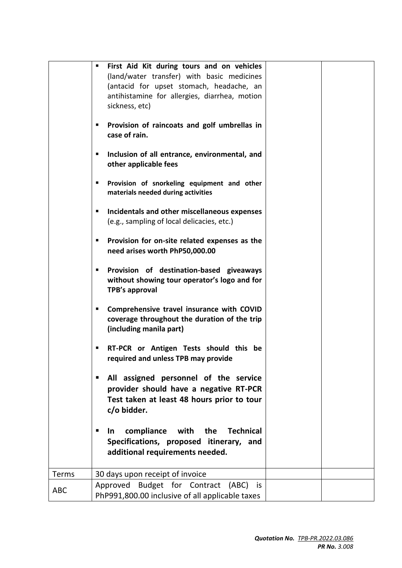|            | First Aid Kit during tours and on vehicles<br>٠                                                                           |  |
|------------|---------------------------------------------------------------------------------------------------------------------------|--|
|            | (land/water transfer) with basic medicines<br>(antacid for upset stomach, headache, an                                    |  |
|            | antihistamine for allergies, diarrhea, motion                                                                             |  |
|            | sickness, etc)                                                                                                            |  |
|            | Provision of raincoats and golf umbrellas in<br>п<br>case of rain.                                                        |  |
|            | Inclusion of all entrance, environmental, and<br>п<br>other applicable fees                                               |  |
|            | Provision of snorkeling equipment and other<br>п<br>materials needed during activities                                    |  |
|            | Incidentals and other miscellaneous expenses<br>п<br>(e.g., sampling of local delicacies, etc.)                           |  |
|            | Provision for on-site related expenses as the<br>п<br>need arises worth PhP50,000.00                                      |  |
|            | Provision of destination-based giveaways<br>ш<br>without showing tour operator's logo and for<br>TPB's approval           |  |
|            | Comprehensive travel insurance with COVID<br>п<br>coverage throughout the duration of the trip<br>(including manila part) |  |
|            | RT-PCR or Antigen Tests should this be<br>п<br>required and unless TPB may provide                                        |  |
|            | All assigned personnel of the service<br>٠                                                                                |  |
|            | provider should have a negative RT-PCR                                                                                    |  |
|            | Test taken at least 48 hours prior to tour<br>c/o bidder.                                                                 |  |
|            |                                                                                                                           |  |
|            | compliance<br>with the<br><b>Technical</b><br>п<br><u>In</u><br>Specifications, proposed itinerary, and                   |  |
|            | additional requirements needed.                                                                                           |  |
|            |                                                                                                                           |  |
| Terms      | 30 days upon receipt of invoice                                                                                           |  |
| <b>ABC</b> | Approved Budget for Contract (ABC) is<br>PhP991,800.00 inclusive of all applicable taxes                                  |  |